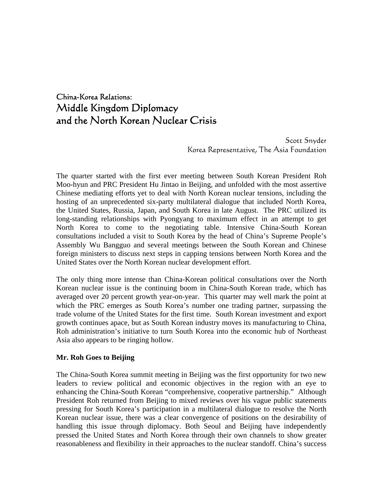# China-Korea Relations: Middle Kingdom Diplomacy and the North Korean Nuclear Crisis

Scott Snyder Korea Representative, The Asia Foundation

The quarter started with the first ever meeting between South Korean President Roh Moo-hyun and PRC President Hu Jintao in Beijing, and unfolded with the most assertive Chinese mediating efforts yet to deal with North Korean nuclear tensions, including the hosting of an unprecedented six-party multilateral dialogue that included North Korea, the United States, Russia, Japan, and South Korea in late August. The PRC utilized its long-standing relationships with Pyongyang to maximum effect in an attempt to get North Korea to come to the negotiating table. Intensive China-South Korean consultations included a visit to South Korea by the head of China's Supreme People's Assembly Wu Bangguo and several meetings between the South Korean and Chinese foreign ministers to discuss next steps in capping tensions between North Korea and the United States over the North Korean nuclear development effort.

The only thing more intense than China-Korean political consultations over the North Korean nuclear issue is the continuing boom in China-South Korean trade, which has averaged over 20 percent growth year-on-year. This quarter may well mark the point at which the PRC emerges as South Korea's number one trading partner, surpassing the trade volume of the United States for the first time. South Korean investment and export growth continues apace, but as South Korean industry moves its manufacturing to China, Roh administration's initiative to turn South Korea into the economic hub of Northeast Asia also appears to be ringing hollow.

#### **Mr. Roh Goes to Beijing**

The China-South Korea summit meeting in Beijing was the first opportunity for two new leaders to review political and economic objectives in the region with an eye to enhancing the China-South Korean "comprehensive, cooperative partnership." Although President Roh returned from Beijing to mixed reviews over his vague public statements pressing for South Korea's participation in a multilateral dialogue to resolve the North Korean nuclear issue, there was a clear convergence of positions on the desirability of handling this issue through diplomacy. Both Seoul and Beijing have independently pressed the United States and North Korea through their own channels to show greater reasonableness and flexibility in their approaches to the nuclear standoff. China's success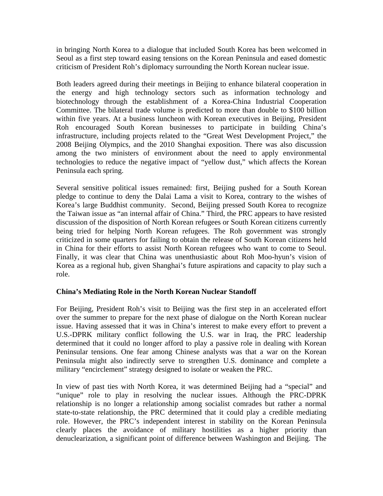in bringing North Korea to a dialogue that included South Korea has been welcomed in Seoul as a first step toward easing tensions on the Korean Peninsula and eased domestic criticism of President Roh's diplomacy surrounding the North Korean nuclear issue.

Both leaders agreed during their meetings in Beijing to enhance bilateral cooperation in the energy and high technology sectors such as information technology and biotechnology through the establishment of a Korea-China Industrial Cooperation Committee. The bilateral trade volume is predicted to more than double to \$100 billion within five years. At a business luncheon with Korean executives in Beijing, President Roh encouraged South Korean businesses to participate in building China's infrastructure, including projects related to the "Great West Development Project," the 2008 Beijing Olympics, and the 2010 Shanghai exposition. There was also discussion among the two ministers of environment about the need to apply environmental technologies to reduce the negative impact of "yellow dust," which affects the Korean Peninsula each spring.

Several sensitive political issues remained: first, Beijing pushed for a South Korean pledge to continue to deny the Dalai Lama a visit to Korea, contrary to the wishes of Korea's large Buddhist community. Second, Beijing pressed South Korea to recognize the Taiwan issue as "an internal affair of China." Third, the PRC appears to have resisted discussion of the disposition of North Korean refugees or South Korean citizens currently being tried for helping North Korean refugees. The Roh government was strongly criticized in some quarters for failing to obtain the release of South Korean citizens held in China for their efforts to assist North Korean refugees who want to come to Seoul. Finally, it was clear that China was unenthusiastic about Roh Moo-hyun's vision of Korea as a regional hub, given Shanghai's future aspirations and capacity to play such a role.

### **China's Mediating Role in the North Korean Nuclear Standoff**

For Beijing, President Roh's visit to Beijing was the first step in an accelerated effort over the summer to prepare for the next phase of dialogue on the North Korean nuclear issue. Having assessed that it was in China's interest to make every effort to prevent a U.S.-DPRK military conflict following the U.S. war in Iraq, the PRC leadership determined that it could no longer afford to play a passive role in dealing with Korean Peninsular tensions. One fear among Chinese analysts was that a war on the Korean Peninsula might also indirectly serve to strengthen U.S. dominance and complete a military "encirclement" strategy designed to isolate or weaken the PRC.

In view of past ties with North Korea, it was determined Beijing had a "special" and "unique" role to play in resolving the nuclear issues. Although the PRC-DPRK relationship is no longer a relationship among socialist comrades but rather a normal state-to-state relationship, the PRC determined that it could play a credible mediating role. However, the PRC's independent interest in stability on the Korean Peninsula clearly places the avoidance of military hostilities as a higher priority than denuclearization, a significant point of difference between Washington and Beijing. The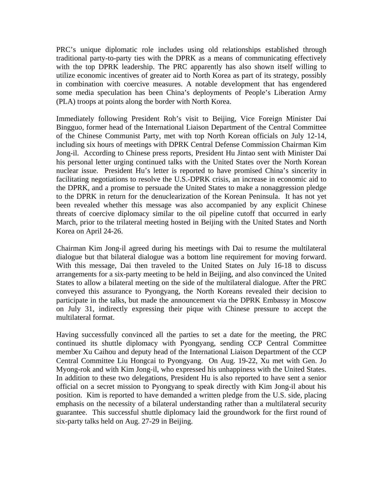PRC's unique diplomatic role includes using old relationships established through traditional party-to-party ties with the DPRK as a means of communicating effectively with the top DPRK leadership. The PRC apparently has also shown itself willing to utilize economic incentives of greater aid to North Korea as part of its strategy, possibly in combination with coercive measures. A notable development that has engendered some media speculation has been China's deployments of People's Liberation Army (PLA) troops at points along the border with North Korea.

Immediately following President Roh's visit to Beijing, Vice Foreign Minister Dai Bingguo, former head of the International Liaison Department of the Central Committee of the Chinese Communist Party, met with top North Korean officials on July 12-14, including six hours of meetings with DPRK Central Defense Commission Chairman Kim Jong-il. According to Chinese press reports, President Hu Jintao sent with Minister Dai his personal letter urging continued talks with the United States over the North Korean nuclear issue. President Hu's letter is reported to have promised China's sincerity in facilitating negotiations to resolve the U.S.-DPRK crisis, an increase in economic aid to the DPRK, and a promise to persuade the United States to make a nonaggression pledge to the DPRK in return for the denuclearization of the Korean Peninsula. It has not yet been revealed whether this message was also accompanied by any explicit Chinese threats of coercive diplomacy similar to the oil pipeline cutoff that occurred in early March, prior to the trilateral meeting hosted in Beijing with the United States and North Korea on April 24-26.

Chairman Kim Jong-il agreed during his meetings with Dai to resume the multilateral dialogue but that bilateral dialogue was a bottom line requirement for moving forward. With this message, Dai then traveled to the United States on July 16-18 to discuss arrangements for a six-party meeting to be held in Beijing, and also convinced the United States to allow a bilateral meeting on the side of the multilateral dialogue. After the PRC conveyed this assurance to Pyongyang, the North Koreans revealed their decision to participate in the talks, but made the announcement via the DPRK Embassy in Moscow on July 31, indirectly expressing their pique with Chinese pressure to accept the multilateral format.

Having successfully convinced all the parties to set a date for the meeting, the PRC continued its shuttle diplomacy with Pyongyang, sending CCP Central Committee member Xu Caihou and deputy head of the International Liaison Department of the CCP Central Committee Liu Hongcai to Pyongyang. On Aug. 19-22, Xu met with Gen. Jo Myong-rok and with Kim Jong-il, who expressed his unhappiness with the United States. In addition to these two delegations, President Hu is also reported to have sent a senior official on a secret mission to Pyongyang to speak directly with Kim Jong-il about his position. Kim is reported to have demanded a written pledge from the U.S. side, placing emphasis on the necessity of a bilateral understanding rather than a multilateral security guarantee. This successful shuttle diplomacy laid the groundwork for the first round of six-party talks held on Aug. 27-29 in Beijing.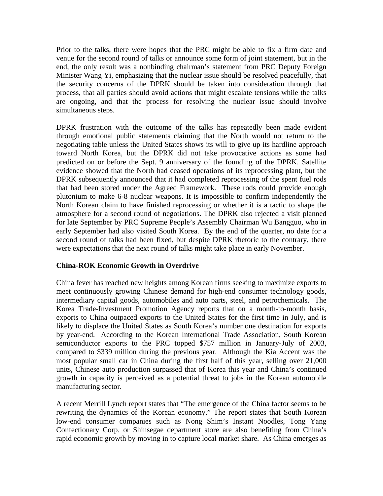Prior to the talks, there were hopes that the PRC might be able to fix a firm date and venue for the second round of talks or announce some form of joint statement, but in the end, the only result was a nonbinding chairman's statement from PRC Deputy Foreign Minister Wang Yi, emphasizing that the nuclear issue should be resolved peacefully, that the security concerns of the DPRK should be taken into consideration through that process, that all parties should avoid actions that might escalate tensions while the talks are ongoing, and that the process for resolving the nuclear issue should involve simultaneous steps.

DPRK frustration with the outcome of the talks has repeatedly been made evident through emotional public statements claiming that the North would not return to the negotiating table unless the United States shows its will to give up its hardline approach toward North Korea, but the DPRK did not take provocative actions as some had predicted on or before the Sept. 9 anniversary of the founding of the DPRK. Satellite evidence showed that the North had ceased operations of its reprocessing plant, but the DPRK subsequently announced that it had completed reprocessing of the spent fuel rods that had been stored under the Agreed Framework. These rods could provide enough plutonium to make 6-8 nuclear weapons. It is impossible to confirm independently the North Korean claim to have finished reprocessing or whether it is a tactic to shape the atmosphere for a second round of negotiations. The DPRK also rejected a visit planned for late September by PRC Supreme People's Assembly Chairman Wu Bangguo, who in early September had also visited South Korea. By the end of the quarter, no date for a second round of talks had been fixed, but despite DPRK rhetoric to the contrary, there were expectations that the next round of talks might take place in early November.

### **China-ROK Economic Growth in Overdrive**

China fever has reached new heights among Korean firms seeking to maximize exports to meet continuously growing Chinese demand for high-end consumer technology goods, intermediary capital goods, automobiles and auto parts, steel, and petrochemicals. The Korea Trade-Investment Promotion Agency reports that on a month-to-month basis, exports to China outpaced exports to the United States for the first time in July, and is likely to displace the United States as South Korea's number one destination for exports by year-end. According to the Korean International Trade Association, South Korean semiconductor exports to the PRC topped \$757 million in January-July of 2003, compared to \$339 million during the previous year. Although the Kia Accent was the most popular small car in China during the first half of this year, selling over 21,000 units, Chinese auto production surpassed that of Korea this year and China's continued growth in capacity is perceived as a potential threat to jobs in the Korean automobile manufacturing sector.

A recent Merrill Lynch report states that "The emergence of the China factor seems to be rewriting the dynamics of the Korean economy." The report states that South Korean low-end consumer companies such as Nong Shim's Instant Noodles, Tong Yang Confectionary Corp. or Shinsegae department store are also benefiting from China's rapid economic growth by moving in to capture local market share. As China emerges as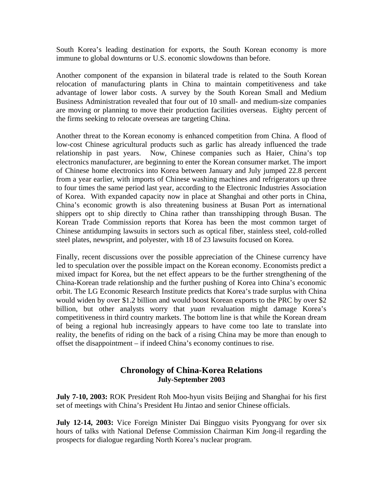South Korea's leading destination for exports, the South Korean economy is more immune to global downturns or U.S. economic slowdowns than before.

Another component of the expansion in bilateral trade is related to the South Korean relocation of manufacturing plants in China to maintain competitiveness and take advantage of lower labor costs. A survey by the South Korean Small and Medium Business Administration revealed that four out of 10 small- and medium-size companies are moving or planning to move their production facilities overseas. Eighty percent of the firms seeking to relocate overseas are targeting China.

Another threat to the Korean economy is enhanced competition from China. A flood of low-cost Chinese agricultural products such as garlic has already influenced the trade relationship in past years. Now, Chinese companies such as Haier, China's top electronics manufacturer, are beginning to enter the Korean consumer market. The import of Chinese home electronics into Korea between January and July jumped 22.8 percent from a year earlier, with imports of Chinese washing machines and refrigerators up three to four times the same period last year, according to the Electronic Industries Association of Korea. With expanded capacity now in place at Shanghai and other ports in China, China's economic growth is also threatening business at Busan Port as international shippers opt to ship directly to China rather than transshipping through Busan. The Korean Trade Commission reports that Korea has been the most common target of Chinese antidumping lawsuits in sectors such as optical fiber, stainless steel, cold-rolled steel plates, newsprint, and polyester, with 18 of 23 lawsuits focused on Korea.

Finally, recent discussions over the possible appreciation of the Chinese currency have led to speculation over the possible impact on the Korean economy. Economists predict a mixed impact for Korea, but the net effect appears to be the further strengthening of the China-Korean trade relationship and the further pushing of Korea into China's economic orbit. The LG Economic Research Institute predicts that Korea's trade surplus with China would widen by over \$1.2 billion and would boost Korean exports to the PRC by over \$2 billion, but other analysts worry that *yuan* revaluation might damage Korea's competitiveness in third country markets. The bottom line is that while the Korean dream of being a regional hub increasingly appears to have come too late to translate into reality, the benefits of riding on the back of a rising China may be more than enough to offset the disappointment – if indeed China's economy continues to rise.

## **Chronology of China-Korea Relations July-September 2003**

**July 7-10, 2003:** ROK President Roh Moo-hyun visits Beijing and Shanghai for his first set of meetings with China's President Hu Jintao and senior Chinese officials.

**July 12-14, 2003:** Vice Foreign Minister Dai Bingguo visits Pyongyang for over six hours of talks with National Defense Commission Chairman Kim Jong-il regarding the prospects for dialogue regarding North Korea's nuclear program.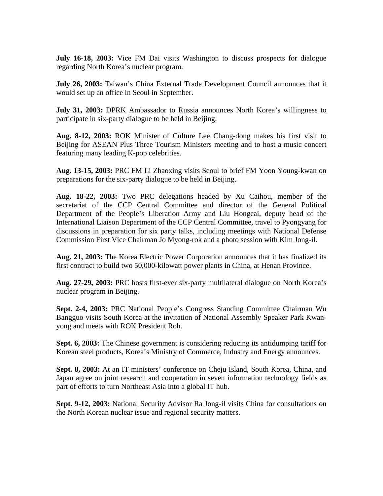**July 16-18, 2003:** Vice FM Dai visits Washington to discuss prospects for dialogue regarding North Korea's nuclear program.

**July 26, 2003:** Taiwan's China External Trade Development Council announces that it would set up an office in Seoul in September.

**July 31, 2003:** DPRK Ambassador to Russia announces North Korea's willingness to participate in six-party dialogue to be held in Beijing.

**Aug. 8-12, 2003:** ROK Minister of Culture Lee Chang-dong makes his first visit to Beijing for ASEAN Plus Three Tourism Ministers meeting and to host a music concert featuring many leading K-pop celebrities.

**Aug. 13-15, 2003:** PRC FM Li Zhaoxing visits Seoul to brief FM Yoon Young-kwan on preparations for the six-party dialogue to be held in Beijing.

**Aug. 18-22, 2003:** Two PRC delegations headed by Xu Caihou, member of the secretariat of the CCP Central Committee and director of the General Political Department of the People's Liberation Army and Liu Hongcai, deputy head of the International Liaison Department of the CCP Central Committee, travel to Pyongyang for discussions in preparation for six party talks, including meetings with National Defense Commission First Vice Chairman Jo Myong-rok and a photo session with Kim Jong-il.

**Aug. 21, 2003:** The Korea Electric Power Corporation announces that it has finalized its first contract to build two 50,000-kilowatt power plants in China, at Henan Province.

**Aug. 27-29, 2003:** PRC hosts first-ever six-party multilateral dialogue on North Korea's nuclear program in Beijing.

**Sept. 2-4, 2003:** PRC National People's Congress Standing Committee Chairman Wu Bangguo visits South Korea at the invitation of National Assembly Speaker Park Kwanyong and meets with ROK President Roh.

**Sept. 6, 2003:** The Chinese government is considering reducing its antidumping tariff for Korean steel products, Korea's Ministry of Commerce, Industry and Energy announces.

**Sept. 8, 2003:** At an IT ministers' conference on Cheju Island, South Korea, China, and Japan agree on joint research and cooperation in seven information technology fields as part of efforts to turn Northeast Asia into a global IT hub.

**Sept. 9-12, 2003:** National Security Advisor Ra Jong-il visits China for consultations on the North Korean nuclear issue and regional security matters.